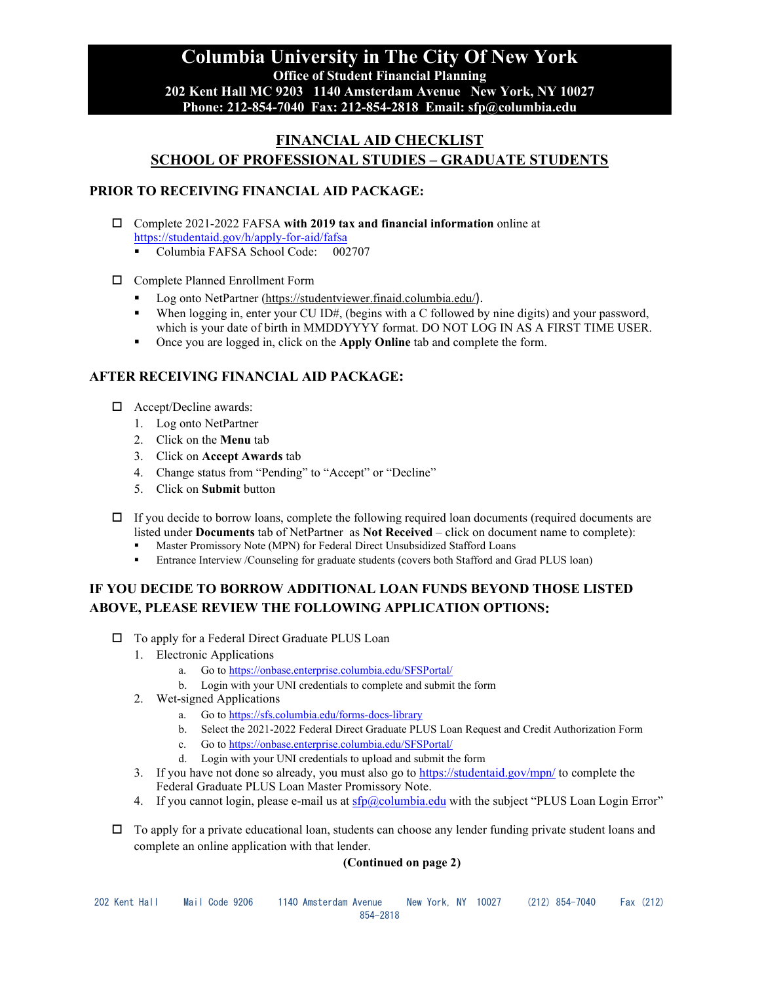# **Columbia University in The City Of New York Office of Student Financial Planning 202 Kent Hall MC 9203 1140 Amsterdam Avenue New York, NY 10027 Phone: 212-854-7040 Fax: 212-854-2818 Email: sfp@columbia.edu**

# **FINANCIAL AID CHECKLIST SCHOOL OF PROFESSIONAL STUDIES – GRADUATE STUDENTS**

#### **PRIOR TO RECEIVING FINANCIAL AID PACKAGE:**

- Complete 2021-2022 FAFSA **with 2019 tax and financial information** online at <https://studentaid.gov/h/apply-for-aid/fafsa>
	- Columbia FAFSA School Code: 002707
- Complete Planned Enrollment Form
	- Log onto NetPartner [\(https://studentviewer.finaid.columbia.edu/](https://studentviewer.finaid.columbia.edu/)).
	- When logging in, enter your CU ID#, (begins with a C followed by nine digits) and your password, which is your date of birth in MMDDYYYY format. DO NOT LOG IN AS A FIRST TIME USER.
	- Once you are logged in, click on the **Apply Online** tab and complete the form.

#### **AFTER RECEIVING FINANCIAL AID PACKAGE:**

- □ Accept/Decline awards:
	- 1. Log onto NetPartner
	- 2. Click on the **Menu** tab
	- 3. Click on **Accept Awards** tab
	- 4. Change status from "Pending" to "Accept" or "Decline"
	- 5. Click on **Submit** button
- $\Box$  If you decide to borrow loans, complete the following required loan documents (required documents are listed under **Documents** tab of NetPartner as **Not Received** – click on document name to complete):
	- Master Promissory Note (MPN) for Federal Direct Unsubsidized Stafford Loans
	- Entrance Interview /Counseling for graduate students (covers both Stafford and Grad PLUS loan)

# **IF YOU DECIDE TO BORROW ADDITIONAL LOAN FUNDS BEYOND THOSE LISTED ABOVE, PLEASE REVIEW THE FOLLOWING APPLICATION OPTIONS:**

- □ To apply for a Federal Direct Graduate PLUS Loan
	- 1. Electronic Applications
		- a. Go t[o https://onbase.enterprise.columbia.edu/SFSPortal/](https://onbase.enterprise.columbia.edu/SFSPortal/)
		- b. Login with your UNI credentials to complete and submit the form
	- 2. Wet-signed Applications
		- a. Go t[o https://sfs.columbia.edu/forms-docs-library](https://sfs.columbia.edu/forms-docs-library)
		- b. Select the 2021-2022 Federal Direct Graduate PLUS Loan Request and Credit Authorization Form
		- c. Go t[o https://onbase.enterprise.columbia.edu/SFSPortal/](https://onbase.enterprise.columbia.edu/SFSPortal/)
		- d. Login with your UNI credentials to upload and submit the form
	- 3. If you have not done so already, you must also go to<https://studentaid.gov/mpn/> to complete the Federal Graduate PLUS Loan Master Promissory Note.
	- 4. If you cannot login, please e-mail us at  $\frac{\text{sfp@columnia.edu}}{\text{columbia.edu}}$  with the subject "PLUS Loan Login Error"
- $\Box$  To apply for a private educational loan, students can choose any lender funding private student loans and complete an online application with that lender.

#### **(Continued on page 2)**